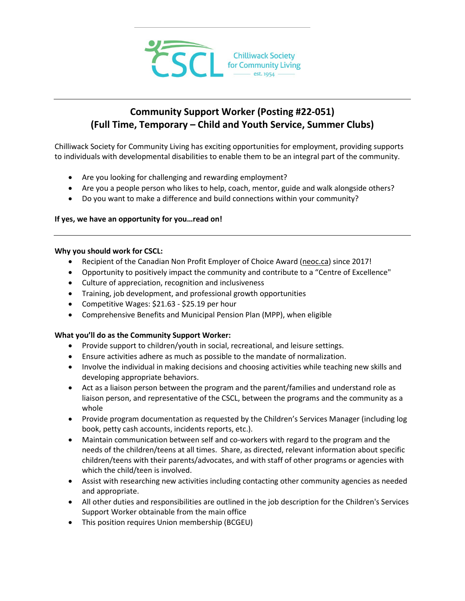

# **Community Support Worker (Posting #22-051) (Full Time, Temporary – Child and Youth Service, Summer Clubs)**

Chilliwack Society for Community Living has exciting opportunities for employment, providing supports to individuals with developmental disabilities to enable them to be an integral part of the community.

- Are you looking for challenging and rewarding employment?
- Are you a people person who likes to help, coach, mentor, guide and walk alongside others?
- Do you want to make a difference and build connections within your community?

### **If yes, we have an opportunity for you…read on!**

#### **Why you should work for CSCL:**

- Recipient of the Canadian Non Profit Employer of Choice Award [\(neoc.ca\)](http://neoc.ca/) since 2017!
- Opportunity to positively impact the community and contribute to a "Centre of Excellence"
- Culture of appreciation, recognition and inclusiveness
- Training, job development, and professional growth opportunities
- Competitive Wages: \$21.63 \$25.19 per hour
- Comprehensive Benefits and Municipal Pension Plan (MPP), when eligible

### **What you'll do as the Community Support Worker:**

- Provide support to children/youth in social, recreational, and leisure settings.
- Ensure activities adhere as much as possible to the mandate of normalization.
- Involve the individual in making decisions and choosing activities while teaching new skills and developing appropriate behaviors.
- Act as a liaison person between the program and the parent/families and understand role as liaison person, and representative of the CSCL, between the programs and the community as a whole
- Provide program documentation as requested by the Children's Services Manager (including log book, petty cash accounts, incidents reports, etc.).
- Maintain communication between self and co-workers with regard to the program and the needs of the children/teens at all times. Share, as directed, relevant information about specific children/teens with their parents/advocates, and with staff of other programs or agencies with which the child/teen is involved.
- Assist with researching new activities including contacting other community agencies as needed and appropriate.
- All other duties and responsibilities are outlined in the job description for the Children's Services Support Worker obtainable from the main office
- This position requires Union membership (BCGEU)